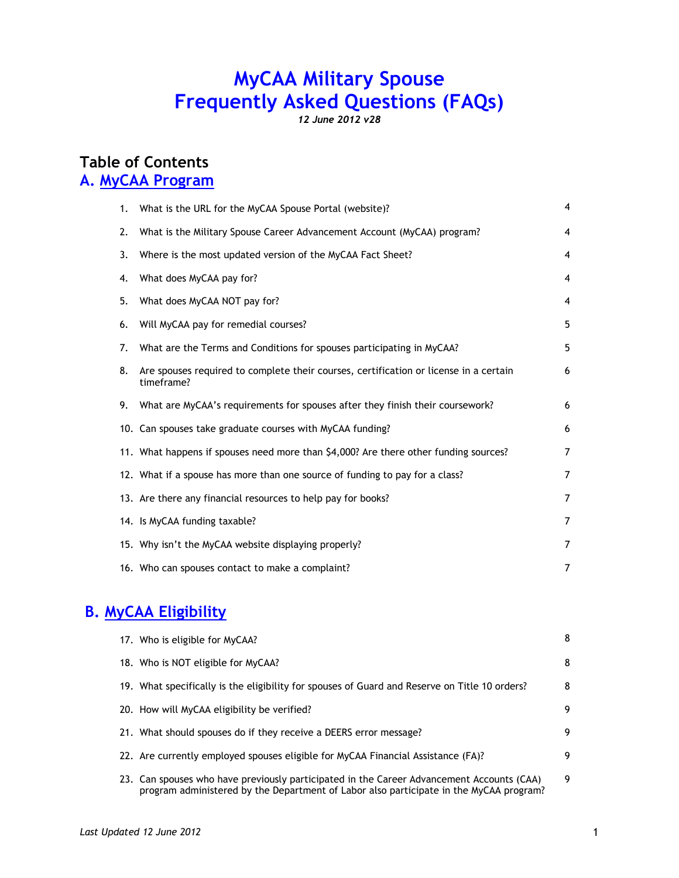# **MyCAA Military Spouse Frequently Asked Questions (FAQs)**

*12 June 2012 v28*

## **Table of Contents A. MyCAA Program**

| What is the URL for the MyCAA Spouse Portal (website)?<br>1.                                              | $\overline{4}$ |
|-----------------------------------------------------------------------------------------------------------|----------------|
| What is the Military Spouse Career Advancement Account (MyCAA) program?<br>2.                             | 4              |
| 3.<br>Where is the most updated version of the MyCAA Fact Sheet?                                          | 4              |
| What does MyCAA pay for?<br>4.                                                                            | 4              |
| What does MyCAA NOT pay for?<br>5.                                                                        | 4              |
| Will MyCAA pay for remedial courses?<br>6.                                                                | 5              |
| What are the Terms and Conditions for spouses participating in MyCAA?<br>7.                               | 5              |
| Are spouses required to complete their courses, certification or license in a certain<br>8.<br>timeframe? | 6              |
| 9.<br>What are MyCAA's requirements for spouses after they finish their coursework?                       | 6              |
| 10. Can spouses take graduate courses with MyCAA funding?                                                 | 6              |
| 11. What happens if spouses need more than \$4,000? Are there other funding sources?                      | $\overline{7}$ |
| 12. What if a spouse has more than one source of funding to pay for a class?                              | $\overline{7}$ |
| 13. Are there any financial resources to help pay for books?                                              | $\overline{7}$ |
| 14. Is MyCAA funding taxable?                                                                             | $\overline{7}$ |
| 15. Why isn't the MyCAA website displaying properly?                                                      | 7              |
| 16. Who can spouses contact to make a complaint?                                                          | 7              |

# **B. MyCAA Eligibility**

|  | 17. Who is eligible for MyCAA?                                                                                                                                                      | 8 |
|--|-------------------------------------------------------------------------------------------------------------------------------------------------------------------------------------|---|
|  | 18. Who is NOT eligible for MyCAA?                                                                                                                                                  | 8 |
|  | 19. What specifically is the eligibility for spouses of Guard and Reserve on Title 10 orders?                                                                                       | 8 |
|  | 20. How will MyCAA eligibility be verified?                                                                                                                                         | 9 |
|  | 21. What should spouses do if they receive a DEERS error message?                                                                                                                   | 9 |
|  | 22. Are currently employed spouses eligible for MyCAA Financial Assistance (FA)?                                                                                                    | 9 |
|  | 23. Can spouses who have previously participated in the Career Advancement Accounts (CAA)<br>program administered by the Department of Labor also participate in the MyCAA program? | 9 |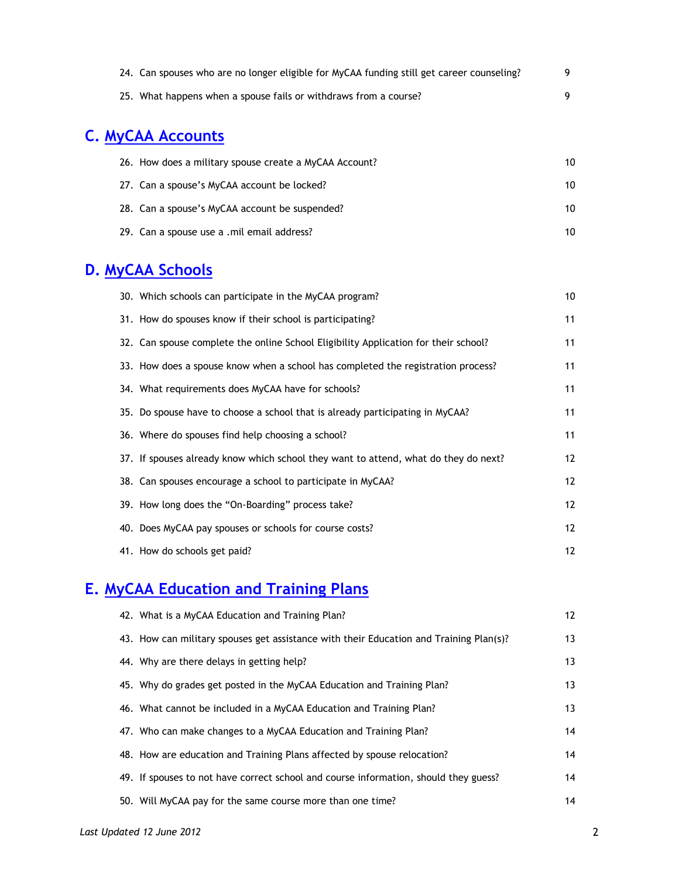| 24. Can spouses who are no longer eligible for MyCAA funding still get career counseling? |  |
|-------------------------------------------------------------------------------------------|--|
| 25. What happens when a spouse fails or withdraws from a course?                          |  |

# **C. MyCAA Accounts**

| 26. How does a military spouse create a MyCAA Account? | 10 |
|--------------------------------------------------------|----|
| 27. Can a spouse's MyCAA account be locked?            | 10 |
| 28. Can a spouse's MyCAA account be suspended?         | 10 |
| 29. Can a spouse use a .mil email address?             | 10 |

# **D. MyCAA Schools**

| 30. Which schools can participate in the MyCAA program?                             | 10 <sup>°</sup> |
|-------------------------------------------------------------------------------------|-----------------|
| 31. How do spouses know if their school is participating?                           | 11              |
| 32. Can spouse complete the online School Eligibility Application for their school? | 11              |
| 33. How does a spouse know when a school has completed the registration process?    | 11              |
| 34. What requirements does MyCAA have for schools?                                  | 11              |
| 35. Do spouse have to choose a school that is already participating in MyCAA?       | 11              |
| 36. Where do spouses find help choosing a school?                                   | 11              |
| 37. If spouses already know which school they want to attend, what do they do next? | 12              |
| 38. Can spouses encourage a school to participate in MyCAA?                         | 12              |
| 39. How long does the "On-Boarding" process take?                                   | 12 <sup>°</sup> |
| 40. Does MyCAA pay spouses or schools for course costs?                             | 12              |
| 41. How do schools get paid?                                                        | 12              |

# **E. MyCAA Education and Training Plans**

| 42. What is a MyCAA Education and Training Plan?                                       | 12 |
|----------------------------------------------------------------------------------------|----|
| 43. How can military spouses get assistance with their Education and Training Plan(s)? | 13 |
| 44. Why are there delays in getting help?                                              | 13 |
| 45. Why do grades get posted in the MyCAA Education and Training Plan?                 | 13 |
| 46. What cannot be included in a MyCAA Education and Training Plan?                    | 13 |
| 47. Who can make changes to a MyCAA Education and Training Plan?                       | 14 |
| 48. How are education and Training Plans affected by spouse relocation?                | 14 |
| 49. If spouses to not have correct school and course information, should they guess?   | 14 |
| 50. Will MyCAA pay for the same course more than one time?                             | 14 |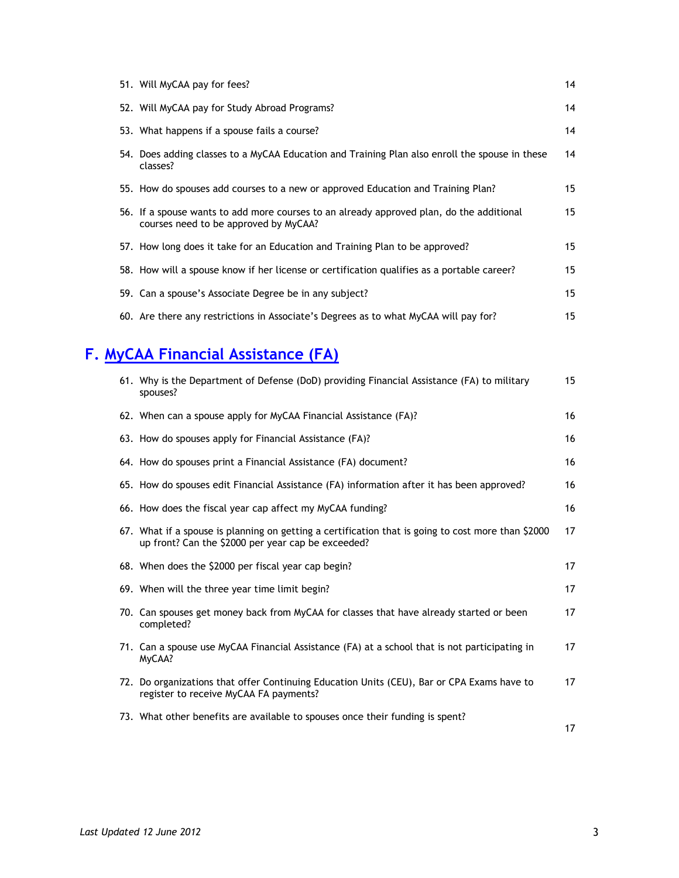| 51. Will MyCAA pay for fees?                                                                                                      | 14              |
|-----------------------------------------------------------------------------------------------------------------------------------|-----------------|
| 52. Will MyCAA pay for Study Abroad Programs?                                                                                     | 14              |
| 53. What happens if a spouse fails a course?                                                                                      | 14              |
| 54. Does adding classes to a MyCAA Education and Training Plan also enroll the spouse in these<br>classes?                        | 14              |
| 55. How do spouses add courses to a new or approved Education and Training Plan?                                                  | 15              |
| 56. If a spouse wants to add more courses to an already approved plan, do the additional<br>courses need to be approved by MyCAA? | 15              |
| 57. How long does it take for an Education and Training Plan to be approved?                                                      | 15              |
| 58. How will a spouse know if her license or certification qualifies as a portable career?                                        | 15              |
| 59. Can a spouse's Associate Degree be in any subject?                                                                            | 15 <sub>1</sub> |
| 60. Are there any restrictions in Associate's Degrees as to what MyCAA will pay for?                                              | 15              |

# **F. MyCAA Financial Assistance (FA)**

| 61. Why is the Department of Defense (DoD) providing Financial Assistance (FA) to military<br>spouses?                                                   | 15 |
|----------------------------------------------------------------------------------------------------------------------------------------------------------|----|
| 62. When can a spouse apply for MyCAA Financial Assistance (FA)?                                                                                         | 16 |
| 63. How do spouses apply for Financial Assistance (FA)?                                                                                                  | 16 |
| 64. How do spouses print a Financial Assistance (FA) document?                                                                                           | 16 |
| 65. How do spouses edit Financial Assistance (FA) information after it has been approved?                                                                | 16 |
| 66. How does the fiscal year cap affect my MyCAA funding?                                                                                                | 16 |
| 67. What if a spouse is planning on getting a certification that is going to cost more than \$2000<br>up front? Can the \$2000 per year cap be exceeded? | 17 |
| 68. When does the \$2000 per fiscal year cap begin?                                                                                                      | 17 |
| 69. When will the three year time limit begin?                                                                                                           | 17 |
| 70. Can spouses get money back from MyCAA for classes that have already started or been<br>completed?                                                    | 17 |
| 71. Can a spouse use MyCAA Financial Assistance (FA) at a school that is not participating in<br>MyCAA?                                                  | 17 |
| 72. Do organizations that offer Continuing Education Units (CEU), Bar or CPA Exams have to<br>register to receive MyCAA FA payments?                     | 17 |
| 73. What other benefits are available to spouses once their funding is spent?                                                                            | 17 |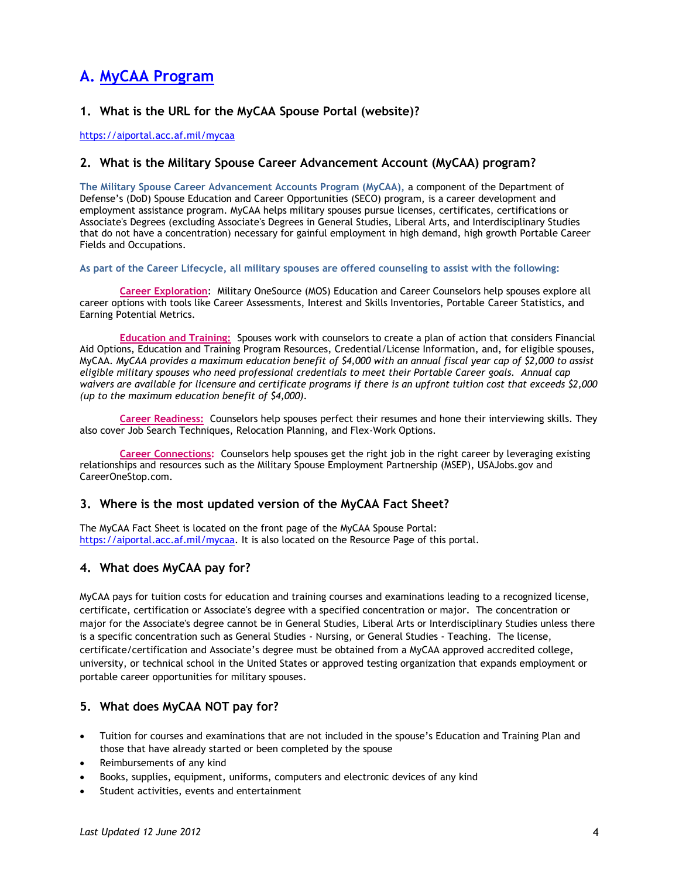# **A. MyCAA Program**

#### **1. What is the URL for the MyCAA Spouse Portal (website)?**

<https://aiportal.acc.af.mil/mycaa>

#### **2. What is the Military Spouse Career Advancement Account (MyCAA) program?**

**The Military Spouse Career Advancement Accounts Program (MyCAA),** a component of the Department of Defense's (DoD) Spouse Education and Career Opportunities (SECO) program, is a career development and employment assistance program. MyCAA helps military spouses pursue licenses, certificates, certifications or Associate's Degrees (excluding Associate's Degrees in General Studies, Liberal Arts, and Interdisciplinary Studies that do not have a concentration) necessary for gainful employment in high demand, high growth Portable Career Fields and Occupations.

#### **As part of the Career Lifecycle, all military spouses are offered counseling to assist with the following:**

**Career Exploration**: Military OneSource (MOS) Education and Career Counselors help spouses explore all career options with tools like Career Assessments, Interest and Skills Inventories, Portable Career Statistics, and Earning Potential Metrics.

**Education and Training:** Spouses work with counselors to create a plan of action that considers Financial Aid Options, Education and Training Program Resources, Credential/License Information, and, for eligible spouses, MyCAA. *MyCAA provides a maximum education benefit of \$4,000 with an annual fiscal year cap of \$2,000 to assist eligible military spouses who need professional credentials to meet their Portable Career goals. Annual cap waivers are available for licensure and certificate programs if there is an upfront tuition cost that exceeds \$2,000 (up to the maximum education benefit of \$4,000).* 

**Career Readiness:** Counselors help spouses perfect their resumes and hone their interviewing skills. They also cover Job Search Techniques, Relocation Planning, and Flex-Work Options.

**Career Connections:** Counselors help spouses get the right job in the right career by leveraging existing relationships and resources such as the Military Spouse Employment Partnership (MSEP), USAJobs.gov and CareerOneStop.com.

#### **3. Where is the most updated version of the MyCAA Fact Sheet?**

The MyCAA Fact Sheet is located on the front page of the MyCAA Spouse Portal: [https://aiportal.acc.af.mil/mycaa.](https://aiportal.acc.af.mil/mycaa) It is also located on the Resource Page of this portal.

#### **4. What does MyCAA pay for?**

MyCAA pays for tuition costs for education and training courses and examinations leading to a recognized license, certificate, certification or Associate's degree with a specified concentration or major. The concentration or major for the Associate's degree cannot be in General Studies, Liberal Arts or Interdisciplinary Studies unless there is a specific concentration such as General Studies - Nursing, or General Studies - Teaching. The license, certificate/certification and Associate's degree must be obtained from a MyCAA approved accredited college, university, or technical school in the United States or approved testing organization that expands employment or portable career opportunities for military spouses.

#### **5. What does MyCAA NOT pay for?**

- Tuition for courses and examinations that are not included in the spouse's Education and Training Plan and those that have already started or been completed by the spouse
- Reimbursements of any kind
- Books, supplies, equipment, uniforms, computers and electronic devices of any kind
- Student activities, events and entertainment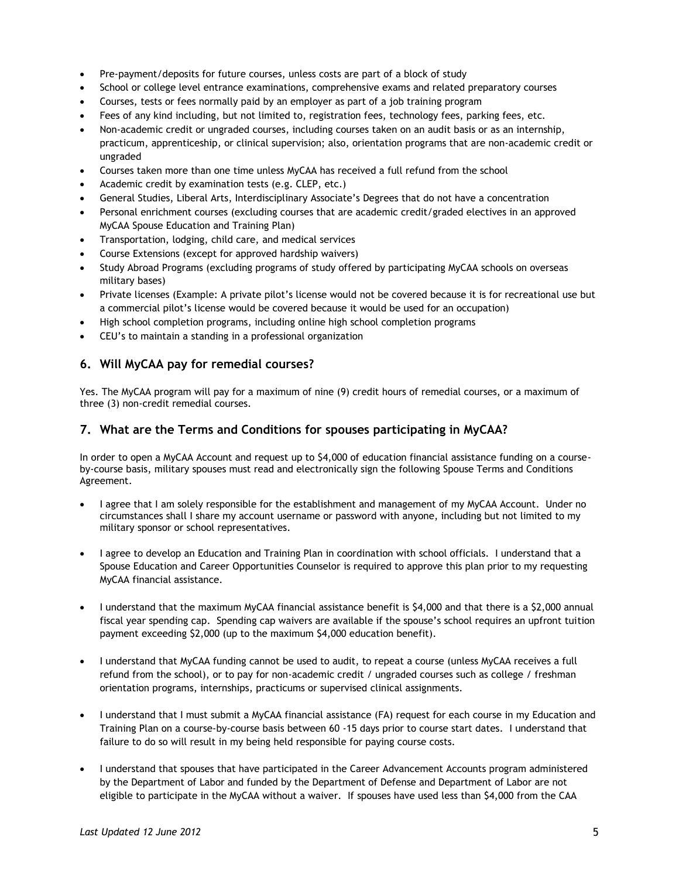- Pre-payment/deposits for future courses, unless costs are part of a block of study
- School or college level entrance examinations, comprehensive exams and related preparatory courses
- Courses, tests or fees normally paid by an employer as part of a job training program
- Fees of any kind including, but not limited to, registration fees, technology fees, parking fees, etc.
- Non-academic credit or ungraded courses, including courses taken on an audit basis or as an internship, practicum, apprenticeship, or clinical supervision; also, orientation programs that are non-academic credit or ungraded
- Courses taken more than one time unless MyCAA has received a full refund from the school
- Academic credit by examination tests (e.g. CLEP, etc.)
- General Studies, Liberal Arts, Interdisciplinary Associate's Degrees that do not have a concentration
- Personal enrichment courses (excluding courses that are academic credit/graded electives in an approved MyCAA Spouse Education and Training Plan)
- Transportation, lodging, child care, and medical services
- Course Extensions (except for approved hardship waivers)
- Study Abroad Programs (excluding programs of study offered by participating MyCAA schools on overseas military bases)
- Private licenses (Example: A private pilot's license would not be covered because it is for recreational use but a commercial pilot's license would be covered because it would be used for an occupation)
- High school completion programs, including online high school completion programs
- CEU's to maintain a standing in a professional organization

#### **6. Will MyCAA pay for remedial courses?**

Yes. The MyCAA program will pay for a maximum of nine (9) credit hours of remedial courses, or a maximum of three (3) non-credit remedial courses.

#### **7. What are the Terms and Conditions for spouses participating in MyCAA?**

In order to open a MyCAA Account and request up to \$4,000 of education financial assistance funding on a courseby-course basis, military spouses must read and electronically sign the following Spouse Terms and Conditions Agreement.

- I agree that I am solely responsible for the establishment and management of my MyCAA Account. Under no circumstances shall I share my account username or password with anyone, including but not limited to my military sponsor or school representatives.
- I agree to develop an Education and Training Plan in coordination with school officials. I understand that a Spouse Education and Career Opportunities Counselor is required to approve this plan prior to my requesting MyCAA financial assistance.
- I understand that the maximum MyCAA financial assistance benefit is \$4,000 and that there is a \$2,000 annual fiscal year spending cap. Spending cap waivers are available if the spouse's school requires an upfront tuition payment exceeding \$2,000 (up to the maximum \$4,000 education benefit).
- I understand that MyCAA funding cannot be used to audit, to repeat a course (unless MyCAA receives a full refund from the school), or to pay for non-academic credit / ungraded courses such as college / freshman orientation programs, internships, practicums or supervised clinical assignments.
- I understand that I must submit a MyCAA financial assistance (FA) request for each course in my Education and Training Plan on a course-by-course basis between 60 -15 days prior to course start dates. I understand that failure to do so will result in my being held responsible for paying course costs.
- I understand that spouses that have participated in the Career Advancement Accounts program administered by the Department of Labor and funded by the Department of Defense and Department of Labor are not eligible to participate in the MyCAA without a waiver. If spouses have used less than \$4,000 from the CAA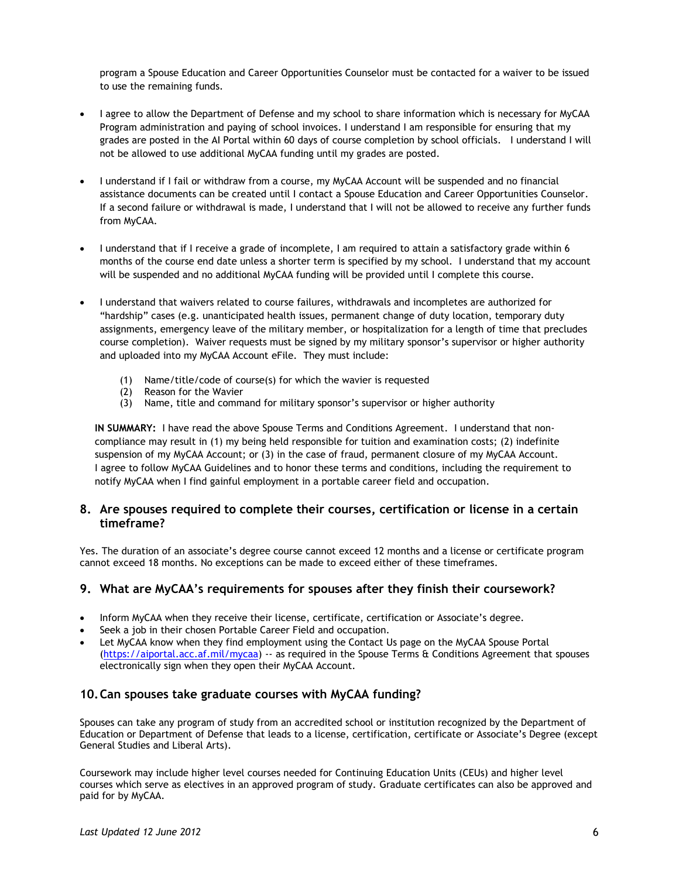program a Spouse Education and Career Opportunities Counselor must be contacted for a waiver to be issued to use the remaining funds.

- I agree to allow the Department of Defense and my school to share information which is necessary for MyCAA Program administration and paying of school invoices. I understand I am responsible for ensuring that my grades are posted in the AI Portal within 60 days of course completion by school officials. I understand I will not be allowed to use additional MyCAA funding until my grades are posted.
- I understand if I fail or withdraw from a course, my MyCAA Account will be suspended and no financial assistance documents can be created until I contact a Spouse Education and Career Opportunities Counselor. If a second failure or withdrawal is made, I understand that I will not be allowed to receive any further funds from MyCAA.
- I understand that if I receive a grade of incomplete, I am required to attain a satisfactory grade within 6 months of the course end date unless a shorter term is specified by my school. I understand that my account will be suspended and no additional MyCAA funding will be provided until I complete this course.
- I understand that waivers related to course failures, withdrawals and incompletes are authorized for "hardship" cases (e.g. unanticipated health issues, permanent change of duty location, temporary duty assignments, emergency leave of the military member, or hospitalization for a length of time that precludes course completion). Waiver requests must be signed by my military sponsor's supervisor or higher authority and uploaded into my MyCAA Account eFile. They must include:
	- (1) Name/title/code of course(s) for which the wavier is requested  $(2)$  Reason for the Wavier
	- Reason for the Wavier
	- $(3)$  Name, title and command for military sponsor's supervisor or higher authority

**IN SUMMARY:** I have read the above Spouse Terms and Conditions Agreement. I understand that noncompliance may result in (1) my being held responsible for tuition and examination costs; (2) indefinite suspension of my MyCAA Account; or (3) in the case of fraud, permanent closure of my MyCAA Account. I agree to follow MyCAA Guidelines and to honor these terms and conditions, including the requirement to notify MyCAA when I find gainful employment in a portable career field and occupation.

#### **8. Are spouses required to complete their courses, certification or license in a certain timeframe?**

Yes. The duration of an associate's degree course cannot exceed 12 months and a license or certificate program cannot exceed 18 months. No exceptions can be made to exceed either of these timeframes.

#### **9. What are MyCAA's requirements for spouses after they finish their coursework?**

- Inform MyCAA when they receive their license, certificate, certification or Associate's degree.
- Seek a job in their chosen Portable Career Field and occupation.
- Let MyCAA know when they find employment using the Contact Us page on the MyCAA Spouse Portal [\(https://aiportal.acc.af.mil/mycaa\)](https://aiportal.acc.af.mil/mycaa) -- as required in the Spouse Terms & Conditions Agreement that spouses electronically sign when they open their MyCAA Account.

#### **10.Can spouses take graduate courses with MyCAA funding?**

Spouses can take any program of study from an accredited school or institution recognized by the Department of Education or Department of Defense that leads to a license, certification, certificate or Associate's Degree (except General Studies and Liberal Arts).

Coursework may include higher level courses needed for Continuing Education Units (CEUs) and higher level courses which serve as electives in an approved program of study. Graduate certificates can also be approved and paid for by MyCAA.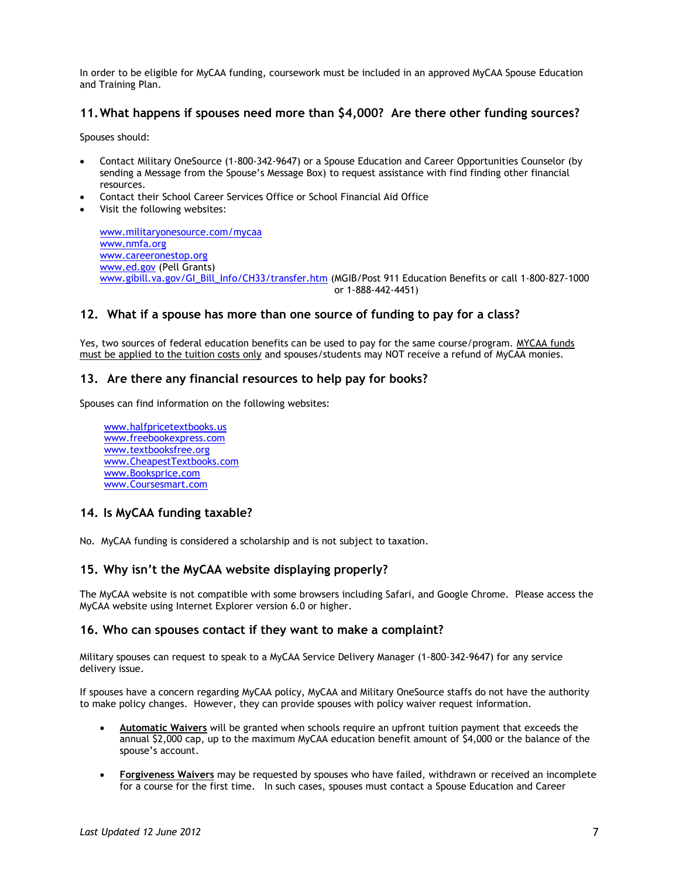In order to be eligible for MyCAA funding, coursework must be included in an approved MyCAA Spouse Education and Training Plan.

#### **11.What happens if spouses need more than \$4,000? Are there other funding sources?**

Spouses should:

- Contact Military OneSource (1-800-342-9647) or a Spouse Education and Career Opportunities Counselor (by sending a Message from the Spouse's Message Box) to request assistance with find finding other financial resources.
- Contact their School Career Services Office or School Financial Aid Office
- Visit the following websites:

[www.militaryonesource.com/mycaa](file:///C:/Documents%20and%20Settings/eltringr/Local%20Settings/Temporary%20Internet%20Files/Local%20Settings/Temporary%20Internet%20Files/Content.Outlook/AT0JLWQ4/www.militaryonesource.com/mycaa) [www.nmfa.org](http://www.nmfa.org/) [www.careeronestop.org](http://www.careeronestop.org/) [www.ed.gov](http://www.ed.gov/) (Pell Grants) [www.gibill.va.gov/GI\\_Bill\\_Info/CH33/transfer.htm](file:///C:/Documents%20and%20Settings/eltringr/Local%20Settings/Temporary%20Internet%20Files/Local%20Settings/Temporary%20Internet%20Files/Content.Outlook/AT0JLWQ4/www.gibill.va.gov/GI_Bill_Info/CH33/transfer.htm) (MGIB/Post 911 Education Benefits or call 1-800-827-1000 or 1-888-442-4451)

#### **12. What if a spouse has more than one source of funding to pay for a class?**

Yes, two sources of federal education benefits can be used to pay for the same course/program. MYCAA funds must be applied to the tuition costs only and spouses/students may NOT receive a refund of MyCAA monies.

#### **13. Are there any financial resources to help pay for books?**

Spouses can find information on the following websites:

 [www.halfpricetextbooks.us](file:///C:/Documents%20and%20Settings/eltringr/Local%20Settings/Temporary%20Internet%20Files/Content.Outlook/3KQIPDN3/www.halfpricetextbooks.us) [www.freebookexpress.com](file:///C:/Documents%20and%20Settings/eltringr/Local%20Settings/Temporary%20Internet%20Files/Content.Outlook/3KQIPDN3/www.freebookexpress.com) [www.textbooksfree.org](file:///C:/Documents%20and%20Settings/eltringr/Local%20Settings/Temporary%20Internet%20Files/Content.Outlook/3KQIPDN3/www.textbooksfree.org) [www.CheapestTextbooks.com](file:///C:/Documents%20and%20Settings/eltringr/Local%20Settings/Temporary%20Internet%20Files/Content.Outlook/3KQIPDN3/www.CheapestTextbooks.com) [www.Booksprice.com](file:///C:/Documents%20and%20Settings/eltringr/Local%20Settings/Temporary%20Internet%20Files/Content.Outlook/3KQIPDN3/www.Booksprice.com) [www.Coursesmart.com](file:///C:/Documents%20and%20Settings/eltringr/Local%20Settings/Temporary%20Internet%20Files/Content.Outlook/3KQIPDN3/www.Coursesmart.com)

#### **14. Is MyCAA funding taxable?**

No. MyCAA funding is considered a scholarship and is not subject to taxation.

#### **15. Why isn't the MyCAA website displaying properly?**

The MyCAA website is not compatible with some browsers including Safari, and Google Chrome. Please access the MyCAA website using Internet Explorer version 6.0 or higher.

#### **16. Who can spouses contact if they want to make a complaint?**

Military spouses can request to speak to a MyCAA Service Delivery Manager (1-800-342-9647) for any service delivery issue.

If spouses have a concern regarding MyCAA policy, MyCAA and Military OneSource staffs do not have the authority to make policy changes. However, they can provide spouses with policy waiver request information.

- **Automatic Waivers** will be granted when schools require an upfront tuition payment that exceeds the annual \$2,000 cap, up to the maximum MyCAA education benefit amount of \$4,000 or the balance of the spouse's account.
- **Forgiveness Waivers** may be requested by spouses who have failed, withdrawn or received an incomplete for a course for the first time. In such cases, spouses must contact a Spouse Education and Career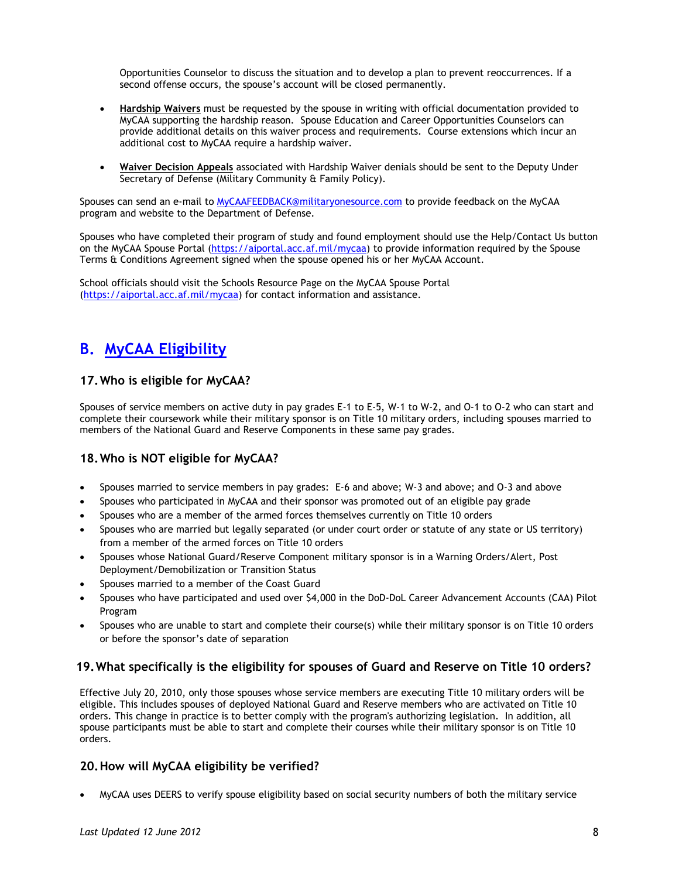Opportunities Counselor to discuss the situation and to develop a plan to prevent reoccurrences. If a second offense occurs, the spouse's account will be closed permanently.

- **Hardship Waivers** must be requested by the spouse in writing with official documentation provided to MyCAA supporting the hardship reason. Spouse Education and Career Opportunities Counselors can provide additional details on this waiver process and requirements. Course extensions which incur an additional cost to MyCAA require a hardship waiver.
- **Waiver Decision Appeals** associated with Hardship Waiver denials should be sent to the Deputy Under Secretary of Defense (Military Community & Family Policy).

Spouses can send an e-mail to [MyCAAFEEDBACK@militaryonesource.com](mailto:MyCAAFEEDBACK@militaryonesource.com) to provide feedback on the MyCAA program and website to the Department of Defense.

Spouses who have completed their program of study and found employment should use the Help/Contact Us button on the MyCAA Spouse Portal [\(https://aiportal.acc.af.mil/mycaa\)](https://aiportal.acc.af.mil/mycaa) to provide information required by the Spouse Terms & Conditions Agreement signed when the spouse opened his or her MyCAA Account.

School officials should visit the Schools Resource Page on the MyCAA Spouse Portal [\(https://aiportal.acc.af.mil/mycaa\)](https://aiportal.acc.af.mil/mycaa) for contact information and assistance.

## **B. MyCAA Eligibility**

### **17.Who is eligible for MyCAA?**

Spouses of service members on active duty in pay grades E-1 to E-5, W-1 to W-2, and O-1 to O-2 who can start and complete their coursework while their military sponsor is on Title 10 military orders, including spouses married to members of the National Guard and Reserve Components in these same pay grades.

### **18.Who is NOT eligible for MyCAA?**

- Spouses married to service members in pay grades: E-6 and above; W-3 and above; and O-3 and above
- Spouses who participated in MyCAA and their sponsor was promoted out of an eligible pay grade
- Spouses who are a member of the armed forces themselves currently on Title 10 orders
- Spouses who are married but legally separated (or under court order or statute of any state or US territory) from a member of the armed forces on Title 10 orders
- Spouses whose National Guard/Reserve Component military sponsor is in a Warning Orders/Alert, Post Deployment/Demobilization or Transition Status
- Spouses married to a member of the Coast Guard
- Spouses who have participated and used over \$4,000 in the DoD-DoL Career Advancement Accounts (CAA) Pilot Program
- Spouses who are unable to start and complete their course(s) while their military sponsor is on Title 10 orders or before the sponsor's date of separation

#### **19.What specifically is the eligibility for spouses of Guard and Reserve on Title 10 orders?**

Effective July 20, 2010, only those spouses whose service members are executing Title 10 military orders will be eligible. This includes spouses of deployed National Guard and Reserve members who are activated on Title 10 orders. This change in practice is to better comply with the program's authorizing legislation. In addition, all spouse participants must be able to start and complete their courses while their military sponsor is on Title 10 orders.

#### **20.How will MyCAA eligibility be verified?**

MyCAA uses DEERS to verify spouse eligibility based on social security numbers of both the military service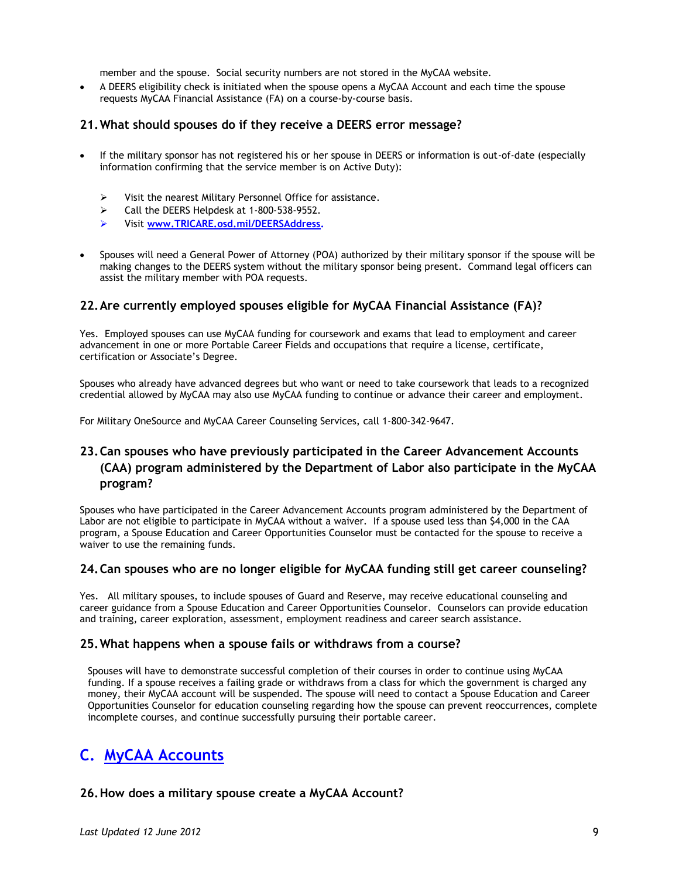member and the spouse. Social security numbers are not stored in the MyCAA website.

 A DEERS eligibility check is initiated when the spouse opens a MyCAA Account and each time the spouse requests MyCAA Financial Assistance (FA) on a course-by-course basis.

#### **21.What should spouses do if they receive a DEERS error message?**

- If the military sponsor has not registered his or her spouse in DEERS or information is out-of-date (especially information confirming that the service member is on Active Duty):
	- $\triangleright$  Visit the nearest Military Personnel Office for assistance.
	- $\geq$  Call the DEERS Helpdesk at 1-800-538-9552.
	- Visit **[www.TRICARE.osd.mil/DEERSAddress.](http://www.tricare.osd.mil/DEERSAddress)**
- Spouses will need a General Power of Attorney (POA) authorized by their military sponsor if the spouse will be making changes to the DEERS system without the military sponsor being present. Command legal officers can assist the military member with POA requests.

#### **22.Are currently employed spouses eligible for MyCAA Financial Assistance (FA)?**

Yes. Employed spouses can use MyCAA funding for coursework and exams that lead to employment and career advancement in one or more Portable Career Fields and occupations that require a license, certificate, certification or Associate's Degree.

Spouses who already have advanced degrees but who want or need to take coursework that leads to a recognized credential allowed by MyCAA may also use MyCAA funding to continue or advance their career and employment.

For Military OneSource and MyCAA Career Counseling Services, call 1-800-342-9647.

### **23.Can spouses who have previously participated in the Career Advancement Accounts (CAA) program administered by the Department of Labor also participate in the MyCAA program?**

Spouses who have participated in the Career Advancement Accounts program administered by the Department of Labor are not eligible to participate in MyCAA without a waiver. If a spouse used less than \$4,000 in the CAA program, a Spouse Education and Career Opportunities Counselor must be contacted for the spouse to receive a waiver to use the remaining funds.

#### **24.Can spouses who are no longer eligible for MyCAA funding still get career counseling?**

Yes. All military spouses, to include spouses of Guard and Reserve, may receive educational counseling and career guidance from a Spouse Education and Career Opportunities Counselor. Counselors can provide education and training, career exploration, assessment, employment readiness and career search assistance.

#### **25.What happens when a spouse fails or withdraws from a course?**

Spouses will have to demonstrate successful completion of their courses in order to continue using MyCAA funding. If a spouse receives a failing grade or withdraws from a class for which the government is charged any money, their MyCAA account will be suspended. The spouse will need to contact a Spouse Education and Career Opportunities Counselor for education counseling regarding how the spouse can prevent reoccurrences, complete incomplete courses, and continue successfully pursuing their portable career.

## **C. MyCAA Accounts**

#### **26.How does a military spouse create a MyCAA Account?**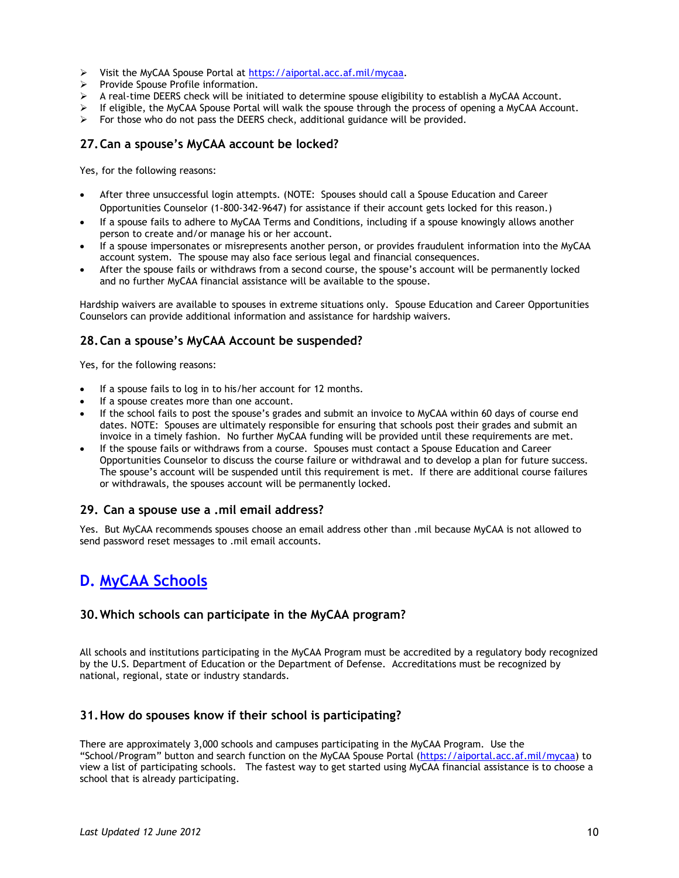- Visit the MyCAA Spouse Portal at [https://aiportal.acc.af.mil/mycaa.](https://aiportal.acc.af.mil/mycaa)
- $\triangleright$  Provide Spouse Profile information.
- $\triangleright$  A real-time DEERS check will be initiated to determine spouse eligibility to establish a MyCAA Account.
- $\triangleright$  If eligible, the MyCAA Spouse Portal will walk the spouse through the process of opening a MyCAA Account.
- $\triangleright$  For those who do not pass the DEERS check, additional guidance will be provided.

#### **27.Can a spouse's MyCAA account be locked?**

Yes, for the following reasons:

- After three unsuccessful login attempts. (NOTE: Spouses should call a Spouse Education and Career Opportunities Counselor (1-800-342-9647) for assistance if their account gets locked for this reason.)
- If a spouse fails to adhere to MyCAA Terms and Conditions, including if a spouse knowingly allows another person to create and/or manage his or her account.
- If a spouse impersonates or misrepresents another person, or provides fraudulent information into the MyCAA account system. The spouse may also face serious legal and financial consequences.
- After the spouse fails or withdraws from a second course, the spouse's account will be permanently locked and no further MyCAA financial assistance will be available to the spouse.

Hardship waivers are available to spouses in extreme situations only. Spouse Education and Career Opportunities Counselors can provide additional information and assistance for hardship waivers.

#### **28.Can a spouse's MyCAA Account be suspended?**

Yes, for the following reasons:

- If a spouse fails to log in to his/her account for 12 months.
- If a spouse creates more than one account.
- If the school fails to post the spouse's grades and submit an invoice to MyCAA within 60 days of course end dates. NOTE: Spouses are ultimately responsible for ensuring that schools post their grades and submit an invoice in a timely fashion. No further MyCAA funding will be provided until these requirements are met.
- If the spouse fails or withdraws from a course. Spouses must contact a Spouse Education and Career Opportunities Counselor to discuss the course failure or withdrawal and to develop a plan for future success. The spouse's account will be suspended until this requirement is met. If there are additional course failures or withdrawals, the spouses account will be permanently locked.

#### **29. Can a spouse use a .mil email address?**

Yes. But MyCAA recommends spouses choose an email address other than .mil because MyCAA is not allowed to send password reset messages to .mil email accounts.

## **D. MyCAA Schools**

#### **30.Which schools can participate in the MyCAA program?**

All schools and institutions participating in the MyCAA Program must be accredited by a regulatory body recognized by the U.S. Department of Education or the Department of Defense. Accreditations must be recognized by national, regional, state or industry standards.

#### **31.How do spouses know if their school is participating?**

There are approximately 3,000 schools and campuses participating in the MyCAA Program. Use the "School/Program" button and search function on the MyCAA Spouse Portal [\(https://aiportal.acc.af.mil/mycaa\)](https://aiportal.acc.af.mil/mycaa) to view a list of participating schools. The fastest way to get started using MyCAA financial assistance is to choose a school that is already participating.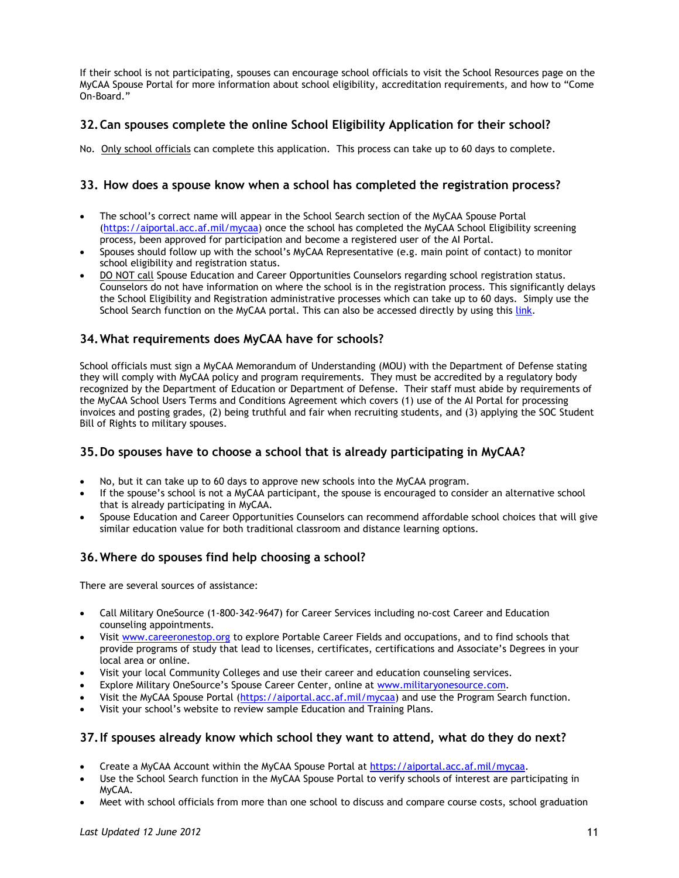If their school is not participating, spouses can encourage school officials to visit the School Resources page on the MyCAA Spouse Portal for more information about school eligibility, accreditation requirements, and how to "Come On-Board."

#### **32.Can spouses complete the online School Eligibility Application for their school?**

No. Only school officials can complete this application. This process can take up to 60 days to complete.

#### **33. How does a spouse know when a school has completed the registration process?**

- The school's correct name will appear in the School Search section of the MyCAA Spouse Portal [\(https://aiportal.acc.af.mil/mycaa\)](https://aiportal.acc.af.mil/mycaa) once the school has completed the MyCAA School Eligibility screening process, been approved for participation and become a registered user of the AI Portal.
- Spouses should follow up with the school's MyCAA Representative (e.g. main point of contact) to monitor school eligibility and registration status.
- DO NOT call Spouse Education and Career Opportunities Counselors regarding school registration status. Counselors do not have information on where the school is in the registration process. This significantly delays the School Eligibility and Registration administrative processes which can take up to 60 days. Simply use the School Search function on the MyCAA portal. This can also be accessed directly by using this [link.](https://aiportal.acc.af.mil/mycaa/School/SearchSchools.aspx)

#### **34.What requirements does MyCAA have for schools?**

School officials must sign a MyCAA Memorandum of Understanding (MOU) with the Department of Defense stating they will comply with MyCAA policy and program requirements. They must be accredited by a regulatory body recognized by the Department of Education or Department of Defense. Their staff must abide by requirements of the MyCAA School Users Terms and Conditions Agreement which covers (1) use of the AI Portal for processing invoices and posting grades, (2) being truthful and fair when recruiting students, and (3) applying the SOC Student Bill of Rights to military spouses.

#### **35.Do spouses have to choose a school that is already participating in MyCAA?**

- No, but it can take up to 60 days to approve new schools into the MyCAA program.
- If the spouse's school is not a MyCAA participant, the spouse is encouraged to consider an alternative school that is already participating in MyCAA.
- Spouse Education and Career Opportunities Counselors can recommend affordable school choices that will give similar education value for both traditional classroom and distance learning options.

### **36.Where do spouses find help choosing a school?**

There are several sources of assistance:

- Call Military OneSource (1-800-342-9647) for Career Services including no-cost Career and Education counseling appointments.
- Visit [www.careeronestop.org](http://www.careeronestop.org/) to explore Portable Career Fields and occupations, and to find schools that provide programs of study that lead to licenses, certificates, certifications and Associate's Degrees in your local area or online.
- Visit your local Community Colleges and use their career and education counseling services.
- Explore Military OneSource's Spouse Career Center, online at [www.militaryonesource.com.](http://www.militaryonesource.com/)
- Visit the MyCAA Spouse Portal [\(https://aiportal.acc.af.mil/mycaa\)](https://aiportal.acc.af.mil/mycaa) and use the Program Search function.
- Visit your school's website to review sample Education and Training Plans.

#### **37.If spouses already know which school they want to attend, what do they do next?**

- Create a MyCAA Account within the MyCAA Spouse Portal at [https://aiportal.acc.af.mil/mycaa.](https://aiportal.acc.af.mil/mycaa)
- Use the School Search function in the MyCAA Spouse Portal to verify schools of interest are participating in MyCAA.
- Meet with school officials from more than one school to discuss and compare course costs, school graduation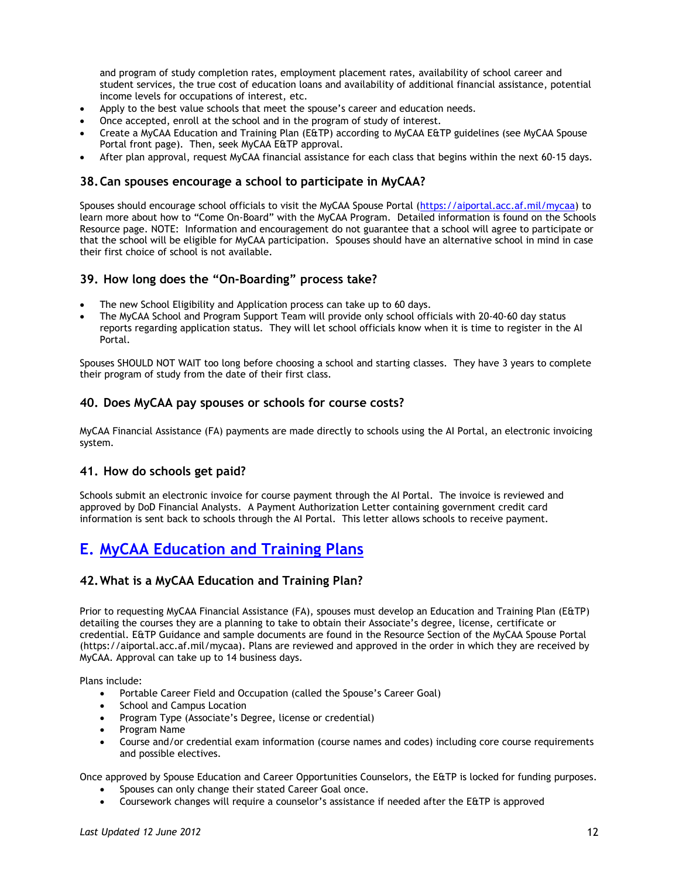and program of study completion rates, employment placement rates, availability of school career and student services, the true cost of education loans and availability of additional financial assistance, potential income levels for occupations of interest, etc.

- Apply to the best value schools that meet the spouse's career and education needs.
- Once accepted, enroll at the school and in the program of study of interest.
- Create a MyCAA Education and Training Plan (E&TP) according to MyCAA E&TP guidelines (see MyCAA Spouse Portal front page). Then, seek MyCAA E&TP approval.
- After plan approval, request MyCAA financial assistance for each class that begins within the next 60-15 days.

#### **38.Can spouses encourage a school to participate in MyCAA?**

Spouses should encourage school officials to visit the MyCAA Spouse Portal [\(https://aiportal.acc.af.mil/mycaa\)](https://aiportal.acc.af.mil/mycaa) to learn more about how to "Come On-Board" with the MyCAA Program. Detailed information is found on the Schools Resource page. NOTE: Information and encouragement do not guarantee that a school will agree to participate or that the school will be eligible for MyCAA participation. Spouses should have an alternative school in mind in case their first choice of school is not available.

#### **39. How long does the "On-Boarding" process take?**

- The new School Eligibility and Application process can take up to 60 days.
- The MyCAA School and Program Support Team will provide only school officials with 20-40-60 day status reports regarding application status. They will let school officials know when it is time to register in the AI Portal.

Spouses SHOULD NOT WAIT too long before choosing a school and starting classes. They have 3 years to complete their program of study from the date of their first class.

#### **40. Does MyCAA pay spouses or schools for course costs?**

MyCAA Financial Assistance (FA) payments are made directly to schools using the AI Portal, an electronic invoicing system.

#### **41. How do schools get paid?**

Schools submit an electronic invoice for course payment through the AI Portal. The invoice is reviewed and approved by DoD Financial Analysts. A Payment Authorization Letter containing government credit card information is sent back to schools through the AI Portal. This letter allows schools to receive payment.

## **E. MyCAA Education and Training Plans**

#### **42.What is a MyCAA Education and Training Plan?**

Prior to requesting MyCAA Financial Assistance (FA), spouses must develop an Education and Training Plan (E&TP) detailing the courses they are a planning to take to obtain their Associate's degree, license, certificate or credential. E&TP Guidance and sample documents are found in the Resource Section of the MyCAA Spouse Portal (https://aiportal.acc.af.mil/mycaa). Plans are reviewed and approved in the order in which they are received by MyCAA. Approval can take up to 14 business days.

Plans include:

- Portable Career Field and Occupation (called the Spouse's Career Goal)
- School and Campus Location
- Program Type (Associate's Degree, license or credential)
- Program Name
- Course and/or credential exam information (course names and codes) including core course requirements and possible electives.

Once approved by Spouse Education and Career Opportunities Counselors, the E&TP is locked for funding purposes.

- Spouses can only change their stated Career Goal once.
- Coursework changes will require a counselor's assistance if needed after the E&TP is approved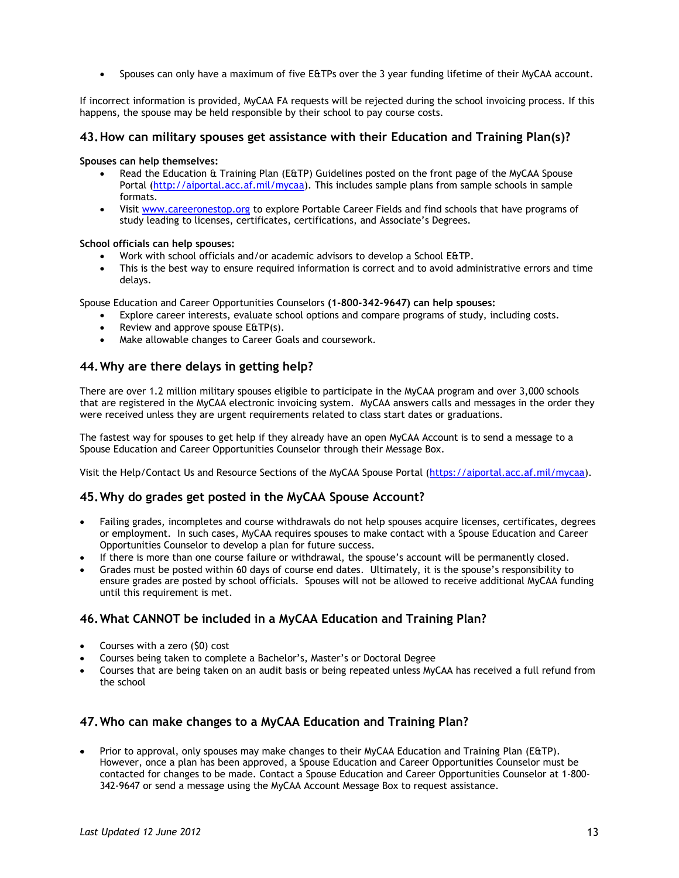Spouses can only have a maximum of five E&TPs over the 3 year funding lifetime of their MyCAA account.

If incorrect information is provided, MyCAA FA requests will be rejected during the school invoicing process. If this happens, the spouse may be held responsible by their school to pay course costs.

#### **43.How can military spouses get assistance with their Education and Training Plan(s)?**

#### **Spouses can help themselves:**

- Read the Education & Training Plan (E&TP) Guidelines posted on the front page of the MyCAA Spouse Portal [\(http://aiportal.acc.af.mil/mycaa\)](http://aiportal.acc.af.mil/mycaa). This includes sample plans from sample schools in sample formats.
- Visit [www.careeronestop.org](http://www.careeronestop.org/) to explore Portable Career Fields and find schools that have programs of study leading to licenses, certificates, certifications, and Associate's Degrees.

#### **School officials can help spouses:**

- Work with school officials and/or academic advisors to develop a School E&TP.
- This is the best way to ensure required information is correct and to avoid administrative errors and time delays.

Spouse Education and Career Opportunities Counselors **(1-800-342-9647) can help spouses:**

- Explore career interests, evaluate school options and compare programs of study, including costs.
- Review and approve spouse E&TP(s).
- Make allowable changes to Career Goals and coursework.

#### **44.Why are there delays in getting help?**

There are over 1.2 million military spouses eligible to participate in the MyCAA program and over 3,000 schools that are registered in the MyCAA electronic invoicing system. MyCAA answers calls and messages in the order they were received unless they are urgent requirements related to class start dates or graduations.

The fastest way for spouses to get help if they already have an open MyCAA Account is to send a message to a Spouse Education and Career Opportunities Counselor through their Message Box.

Visit the Help/Contact Us and Resource Sections of the MyCAA Spouse Portal [\(https://aiportal.acc.af.mil/mycaa\)](https://aiportal.acc.af.mil/mycaa).

#### **45.Why do grades get posted in the MyCAA Spouse Account?**

- Failing grades, incompletes and course withdrawals do not help spouses acquire licenses, certificates, degrees or employment. In such cases, MyCAA requires spouses to make contact with a Spouse Education and Career Opportunities Counselor to develop a plan for future success.
- If there is more than one course failure or withdrawal, the spouse's account will be permanently closed.
- Grades must be posted within 60 days of course end dates. Ultimately, it is the spouse's responsibility to ensure grades are posted by school officials. Spouses will not be allowed to receive additional MyCAA funding until this requirement is met.

#### **46.What CANNOT be included in a MyCAA Education and Training Plan?**

- Courses with a zero (\$0) cost
- Courses being taken to complete a Bachelor's, Master's or Doctoral Degree
- Courses that are being taken on an audit basis or being repeated unless MyCAA has received a full refund from the school

#### **47.Who can make changes to a MyCAA Education and Training Plan?**

• Prior to approval, only spouses may make changes to their MyCAA Education and Training Plan (E&TP). However, once a plan has been approved, a Spouse Education and Career Opportunities Counselor must be contacted for changes to be made. Contact a Spouse Education and Career Opportunities Counselor at 1-800- 342-9647 or send a message using the MyCAA Account Message Box to request assistance.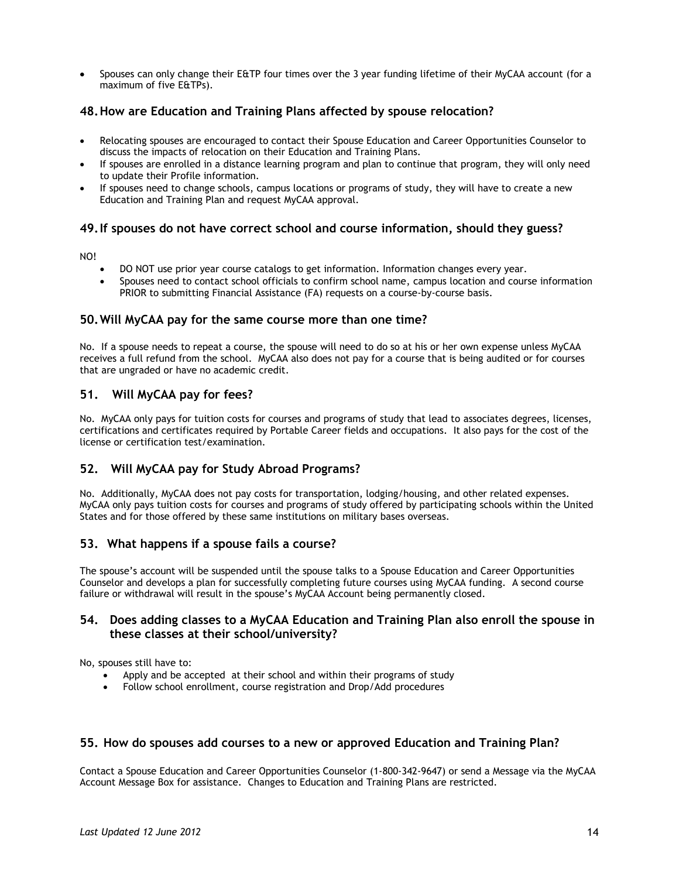Spouses can only change their E&TP four times over the 3 year funding lifetime of their MyCAA account (for a maximum of five E&TPs).

#### **48.How are Education and Training Plans affected by spouse relocation?**

- Relocating spouses are encouraged to contact their Spouse Education and Career Opportunities Counselor to discuss the impacts of relocation on their Education and Training Plans.
- If spouses are enrolled in a distance learning program and plan to continue that program, they will only need to update their Profile information.
- If spouses need to change schools, campus locations or programs of study, they will have to create a new Education and Training Plan and request MyCAA approval.

#### **49.If spouses do not have correct school and course information, should they guess?**

NO!

- DO NOT use prior year course catalogs to get information. Information changes every year.
- Spouses need to contact school officials to confirm school name, campus location and course information PRIOR to submitting Financial Assistance (FA) requests on a course-by-course basis.

#### **50.Will MyCAA pay for the same course more than one time?**

No. If a spouse needs to repeat a course, the spouse will need to do so at his or her own expense unless MyCAA receives a full refund from the school. MyCAA also does not pay for a course that is being audited or for courses that are ungraded or have no academic credit.

#### **51. Will MyCAA pay for fees?**

No. MyCAA only pays for tuition costs for courses and programs of study that lead to associates degrees, licenses, certifications and certificates required by Portable Career fields and occupations. It also pays for the cost of the license or certification test/examination.

#### **52. Will MyCAA pay for Study Abroad Programs?**

No. Additionally, MyCAA does not pay costs for transportation, lodging/housing, and other related expenses. MyCAA only pays tuition costs for courses and programs of study offered by participating schools within the United States and for those offered by these same institutions on military bases overseas.

#### **53. What happens if a spouse fails a course?**

The spouse's account will be suspended until the spouse talks to a Spouse Education and Career Opportunities Counselor and develops a plan for successfully completing future courses using MyCAA funding. A second course failure or withdrawal will result in the spouse's MyCAA Account being permanently closed.

#### **54. Does adding classes to a MyCAA Education and Training Plan also enroll the spouse in these classes at their school/university?**

No, spouses still have to:

- Apply and be accepted at their school and within their programs of study
- Follow school enrollment, course registration and Drop/Add procedures

#### **55. How do spouses add courses to a new or approved Education and Training Plan?**

Contact a Spouse Education and Career Opportunities Counselor (1-800-342-9647) or send a Message via the MyCAA Account Message Box for assistance. Changes to Education and Training Plans are restricted.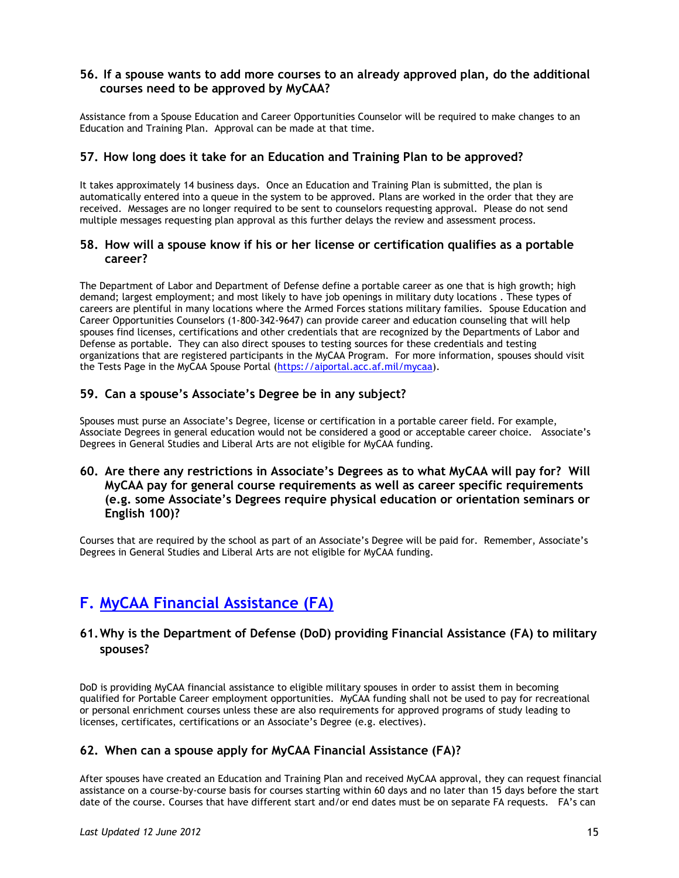#### **56. If a spouse wants to add more courses to an already approved plan, do the additional courses need to be approved by MyCAA?**

Assistance from a Spouse Education and Career Opportunities Counselor will be required to make changes to an Education and Training Plan. Approval can be made at that time.

#### **57. How long does it take for an Education and Training Plan to be approved?**

It takes approximately 14 business days. Once an Education and Training Plan is submitted, the plan is automatically entered into a queue in the system to be approved. Plans are worked in the order that they are received. Messages are no longer required to be sent to counselors requesting approval. Please do not send multiple messages requesting plan approval as this further delays the review and assessment process.

#### **58. How will a spouse know if his or her license or certification qualifies as a portable career?**

The Department of Labor and Department of Defense define a portable career as one that is high growth; high demand; largest employment; and most likely to have job openings in military duty locations . These types of careers are plentiful in many locations where the Armed Forces stations military families. Spouse Education and Career Opportunities Counselors (1-800-342-9647) can provide career and education counseling that will help spouses find licenses, certifications and other credentials that are recognized by the Departments of Labor and Defense as portable. They can also direct spouses to testing sources for these credentials and testing organizations that are registered participants in the MyCAA Program. For more information, spouses should visit the Tests Page in the MyCAA Spouse Portal [\(https://aiportal.acc.af.mil/mycaa\)](https://aiportal.acc.af.mil/mycaa).

#### **59. Can a spouse's Associate's Degree be in any subject?**

Spouses must purse an Associate's Degree, license or certification in a portable career field. For example, Associate Degrees in general education would not be considered a good or acceptable career choice. Associate's Degrees in General Studies and Liberal Arts are not eligible for MyCAA funding.

#### **60. Are there any restrictions in Associate's Degrees as to what MyCAA will pay for? Will MyCAA pay for general course requirements as well as career specific requirements (e.g. some Associate's Degrees require physical education or orientation seminars or English 100)?**

Courses that are required by the school as part of an Associate's Degree will be paid for. Remember, Associate's Degrees in General Studies and Liberal Arts are not eligible for MyCAA funding.

## **F. MyCAA Financial Assistance (FA)**

### **61.Why is the Department of Defense (DoD) providing Financial Assistance (FA) to military spouses?**

DoD is providing MyCAA financial assistance to eligible military spouses in order to assist them in becoming qualified for Portable Career employment opportunities. MyCAA funding shall not be used to pay for recreational or personal enrichment courses unless these are also requirements for approved programs of study leading to licenses, certificates, certifications or an Associate's Degree (e.g. electives).

#### **62. When can a spouse apply for MyCAA Financial Assistance (FA)?**

After spouses have created an Education and Training Plan and received MyCAA approval, they can request financial assistance on a course-by-course basis for courses starting within 60 days and no later than 15 days before the start date of the course. Courses that have different start and/or end dates must be on separate FA requests. FA's can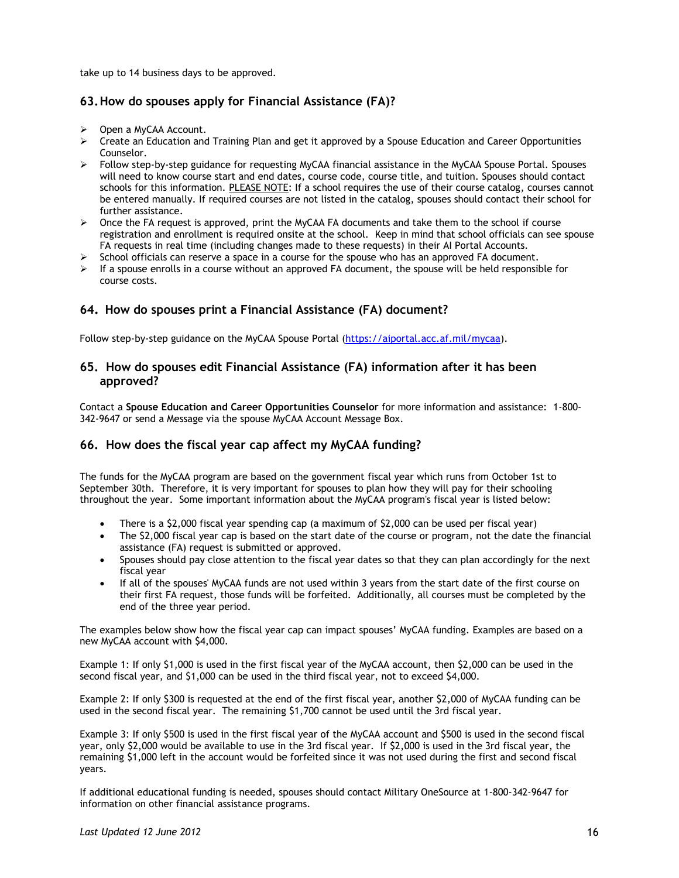take up to 14 business days to be approved.

#### **63.How do spouses apply for Financial Assistance (FA)?**

- Open a MyCAA Account.
- $\triangleright$  Create an Education and Training Plan and get it approved by a Spouse Education and Career Opportunities Counselor.
- Follow step-by-step guidance for requesting MyCAA financial assistance in the MyCAA Spouse Portal. Spouses will need to know course start and end dates, course code, course title, and tuition. Spouses should contact schools for this information. PLEASE NOTE: If a school requires the use of their course catalog, courses cannot be entered manually. If required courses are not listed in the catalog, spouses should contact their school for further assistance.
- $\triangleright$  Once the FA request is approved, print the MyCAA FA documents and take them to the school if course registration and enrollment is required onsite at the school. Keep in mind that school officials can see spouse FA requests in real time (including changes made to these requests) in their AI Portal Accounts.
- School officials can reserve a space in a course for the spouse who has an approved FA document.
- If a spouse enrolls in a course without an approved FA document, the spouse will be held responsible for course costs.

#### **64. How do spouses print a Financial Assistance (FA) document?**

Follow step-by-step guidance on the MyCAA Spouse Portal [\(https://aiportal.acc.af.mil/mycaa\)](https://aiportal.acc.af.mil/mycaa).

#### **65. How do spouses edit Financial Assistance (FA) information after it has been approved?**

Contact a **Spouse Education and Career Opportunities Counselor** for more information and assistance: 1-800- 342-9647 or send a Message via the spouse MyCAA Account Message Box.

#### **66. How does the fiscal year cap affect my MyCAA funding?**

The funds for the MyCAA program are based on the government fiscal year which runs from October 1st to September 30th. Therefore, it is very important for spouses to plan how they will pay for their schooling throughout the year. Some important information about the MyCAA program's fiscal year is listed below:

- There is a \$2,000 fiscal year spending cap (a maximum of \$2,000 can be used per fiscal year)
- The \$2,000 fiscal year cap is based on the start date of the course or program, not the date the financial assistance (FA) request is submitted or approved.
- Spouses should pay close attention to the fiscal year dates so that they can plan accordingly for the next fiscal year
- If all of the spouses' MyCAA funds are not used within 3 years from the start date of the first course on their first FA request, those funds will be forfeited. Additionally, all courses must be completed by the end of the three year period.

The examples below show how the fiscal year cap can impact spouses' MyCAA funding. Examples are based on a new MyCAA account with \$4,000.

Example 1: If only \$1,000 is used in the first fiscal year of the MyCAA account, then \$2,000 can be used in the second fiscal year, and \$1,000 can be used in the third fiscal year, not to exceed \$4,000.

Example 2: If only \$300 is requested at the end of the first fiscal year, another \$2,000 of MyCAA funding can be used in the second fiscal year. The remaining \$1,700 cannot be used until the 3rd fiscal year.

Example 3: If only \$500 is used in the first fiscal year of the MyCAA account and \$500 is used in the second fiscal year, only \$2,000 would be available to use in the 3rd fiscal year. If \$2,000 is used in the 3rd fiscal year, the remaining \$1,000 left in the account would be forfeited since it was not used during the first and second fiscal years.

If additional educational funding is needed, spouses should contact Military OneSource at 1-800-342-9647 for information on other financial assistance programs.